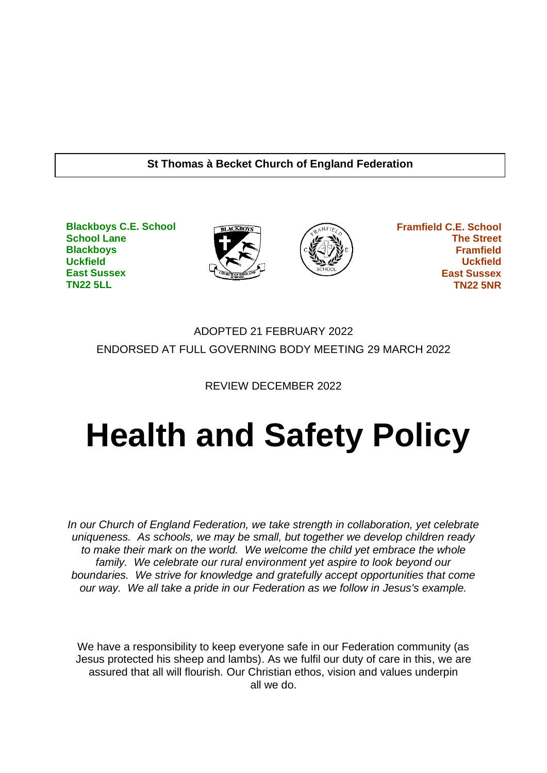#### **St Thomas à Becket Church of England Federation**

**Blackboys C.E. School School Lane Blackboys Uckfield East Sussex TN22 5LL**





 **Framfield C.E. School The Street Framfield Uckfield East Sussex TN22 5NR**

## ADOPTED 21 FEBRUARY 2022 ENDORSED AT FULL GOVERNING BODY MEETING 29 MARCH 2022

REVIEW DECEMBER 2022

# **Health and Safety Policy**

*In our Church of England Federation, we take strength in collaboration, yet celebrate uniqueness. As schools, we may be small, but together we develop children ready to make their mark on the world. We welcome the child yet embrace the whole family. We celebrate our rural environment yet aspire to look beyond our boundaries. We strive for knowledge and gratefully accept opportunities that come our way. We all take a pride in our Federation as we follow in Jesus's example.*

We have a responsibility to keep everyone safe in our Federation community (as Jesus protected his sheep and lambs). As we fulfil our duty of care in this, we are assured that all will flourish. Our Christian ethos, vision and values underpin all we do.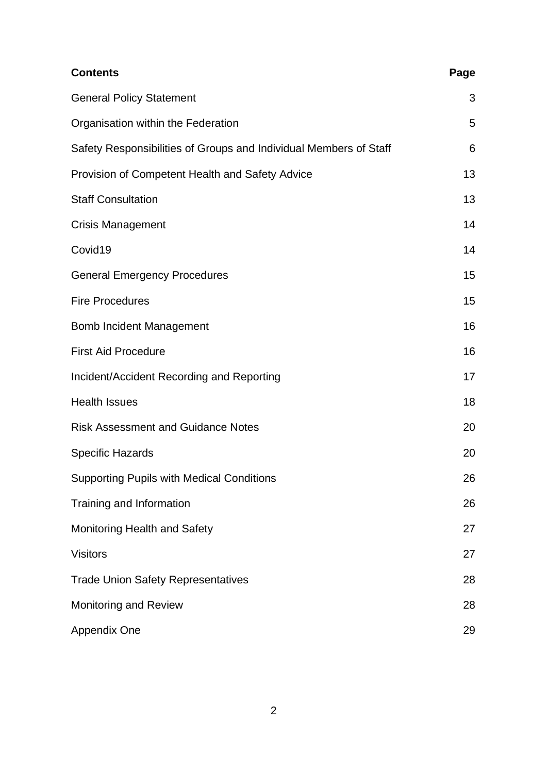| <b>Contents</b>                                                   | Page |
|-------------------------------------------------------------------|------|
| <b>General Policy Statement</b>                                   | 3    |
| Organisation within the Federation                                | 5    |
| Safety Responsibilities of Groups and Individual Members of Staff | 6    |
| Provision of Competent Health and Safety Advice                   | 13   |
| <b>Staff Consultation</b>                                         | 13   |
| <b>Crisis Management</b>                                          | 14   |
| Covid19                                                           | 14   |
| <b>General Emergency Procedures</b>                               | 15   |
| <b>Fire Procedures</b>                                            | 15   |
| <b>Bomb Incident Management</b>                                   | 16   |
| <b>First Aid Procedure</b>                                        | 16   |
| Incident/Accident Recording and Reporting                         | 17   |
| <b>Health Issues</b>                                              | 18   |
| <b>Risk Assessment and Guidance Notes</b>                         | 20   |
| <b>Specific Hazards</b>                                           | 20   |
| <b>Supporting Pupils with Medical Conditions</b>                  | 26   |
| Training and Information                                          | 26   |
| <b>Monitoring Health and Safety</b>                               | 27   |
| <b>Visitors</b>                                                   | 27   |
| <b>Trade Union Safety Representatives</b>                         | 28   |
| <b>Monitoring and Review</b>                                      | 28   |
| Appendix One                                                      | 29   |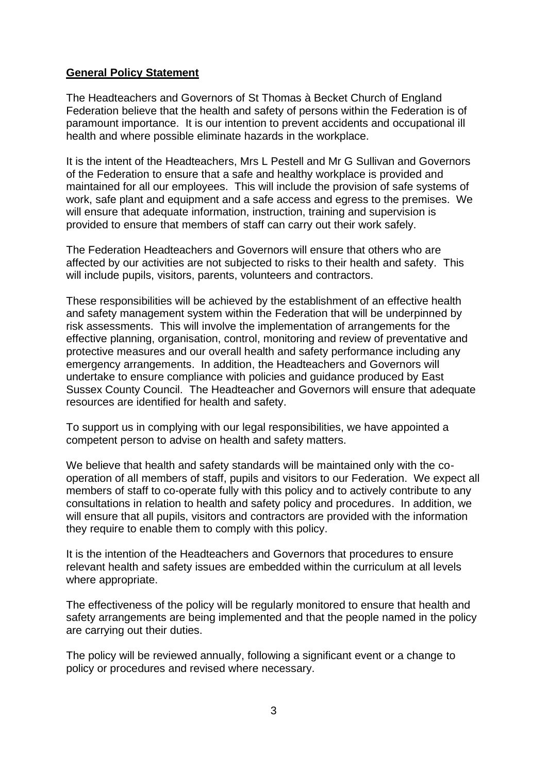#### **General Policy Statement**

The Headteachers and Governors of St Thomas à Becket Church of England Federation believe that the health and safety of persons within the Federation is of paramount importance. It is our intention to prevent accidents and occupational ill health and where possible eliminate hazards in the workplace.

It is the intent of the Headteachers, Mrs L Pestell and Mr G Sullivan and Governors of the Federation to ensure that a safe and healthy workplace is provided and maintained for all our employees. This will include the provision of safe systems of work, safe plant and equipment and a safe access and egress to the premises. We will ensure that adequate information, instruction, training and supervision is provided to ensure that members of staff can carry out their work safely.

The Federation Headteachers and Governors will ensure that others who are affected by our activities are not subjected to risks to their health and safety. This will include pupils, visitors, parents, volunteers and contractors.

These responsibilities will be achieved by the establishment of an effective health and safety management system within the Federation that will be underpinned by risk assessments. This will involve the implementation of arrangements for the effective planning, organisation, control, monitoring and review of preventative and protective measures and our overall health and safety performance including any emergency arrangements. In addition, the Headteachers and Governors will undertake to ensure compliance with policies and guidance produced by East Sussex County Council. The Headteacher and Governors will ensure that adequate resources are identified for health and safety.

To support us in complying with our legal responsibilities, we have appointed a competent person to advise on health and safety matters.

We believe that health and safety standards will be maintained only with the cooperation of all members of staff, pupils and visitors to our Federation. We expect all members of staff to co-operate fully with this policy and to actively contribute to any consultations in relation to health and safety policy and procedures. In addition, we will ensure that all pupils, visitors and contractors are provided with the information they require to enable them to comply with this policy.

It is the intention of the Headteachers and Governors that procedures to ensure relevant health and safety issues are embedded within the curriculum at all levels where appropriate.

The effectiveness of the policy will be regularly monitored to ensure that health and safety arrangements are being implemented and that the people named in the policy are carrying out their duties.

The policy will be reviewed annually, following a significant event or a change to policy or procedures and revised where necessary.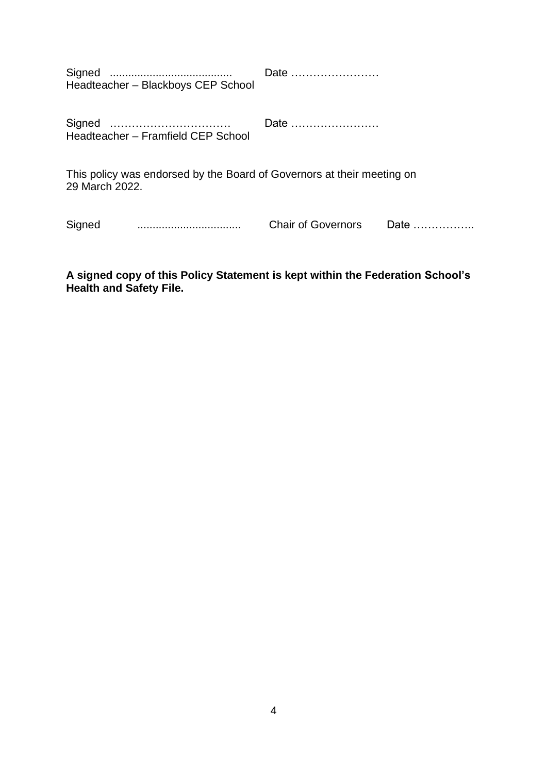Signed ........................................ Date …………………… Headteacher – Blackboys CEP School

Signed …………………………… Date …………………… Headteacher – Framfield CEP School

This policy was endorsed by the Board of Governors at their meeting on 29 March 2022.

Signed .................................. Chair of Governors Date ……………..

**A signed copy of this Policy Statement is kept within the Federation School's Health and Safety File.**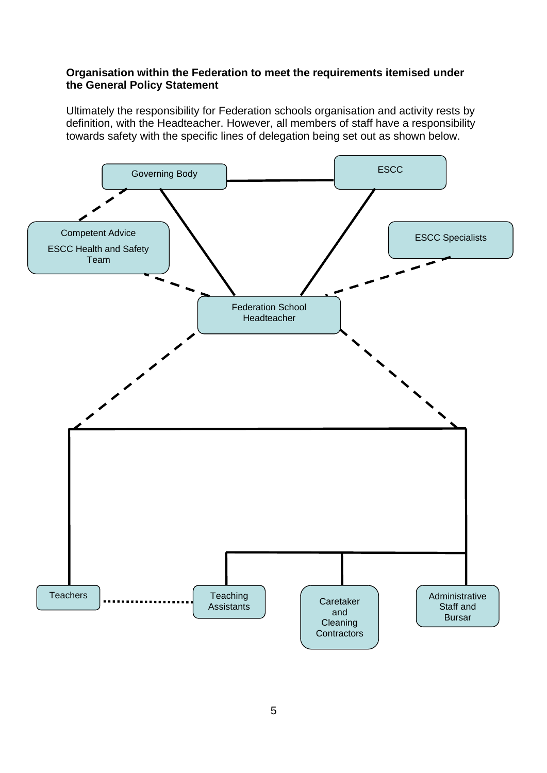#### **Organisation within the Federation to meet the requirements itemised under the General Policy Statement**

Ultimately the responsibility for Federation schools organisation and activity rests by definition, with the Headteacher. However, all members of staff have a responsibility towards safety with the specific lines of delegation being set out as shown below.

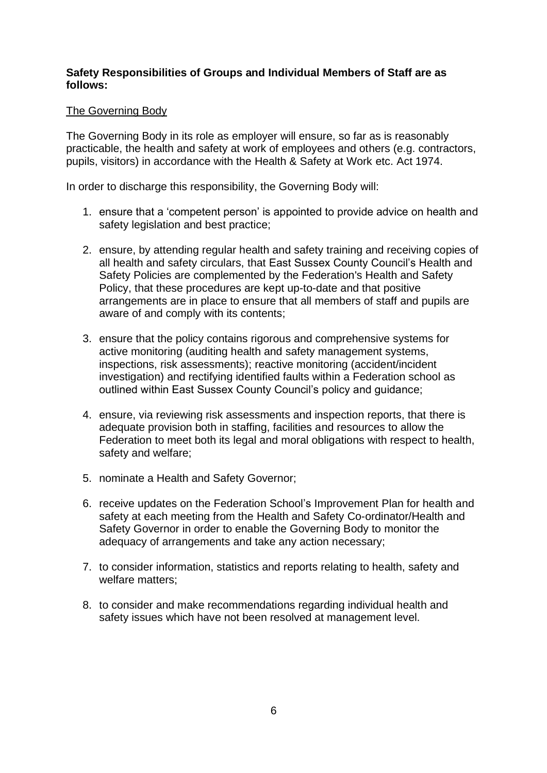#### **Safety Responsibilities of Groups and Individual Members of Staff are as follows:**

#### The Governing Body

The Governing Body in its role as employer will ensure, so far as is reasonably practicable, the health and safety at work of employees and others (e.g. contractors, pupils, visitors) in accordance with the Health & Safety at Work etc. Act 1974.

In order to discharge this responsibility, the Governing Body will:

- 1. ensure that a 'competent person' is appointed to provide advice on health and safety legislation and best practice;
- 2. ensure, by attending regular health and safety training and receiving copies of all health and safety circulars, that East Sussex County Council's Health and Safety Policies are complemented by the Federation's Health and Safety Policy, that these procedures are kept up-to-date and that positive arrangements are in place to ensure that all members of staff and pupils are aware of and comply with its contents;
- 3. ensure that the policy contains rigorous and comprehensive systems for active monitoring (auditing health and safety management systems, inspections, risk assessments); reactive monitoring (accident/incident investigation) and rectifying identified faults within a Federation school as outlined within East Sussex County Council's policy and guidance;
- 4. ensure, via reviewing risk assessments and inspection reports, that there is adequate provision both in staffing, facilities and resources to allow the Federation to meet both its legal and moral obligations with respect to health, safety and welfare;
- 5. nominate a Health and Safety Governor;
- 6. receive updates on the Federation School's Improvement Plan for health and safety at each meeting from the Health and Safety Co-ordinator/Health and Safety Governor in order to enable the Governing Body to monitor the adequacy of arrangements and take any action necessary;
- 7. to consider information, statistics and reports relating to health, safety and welfare matters;
- 8. to consider and make recommendations regarding individual health and safety issues which have not been resolved at management level.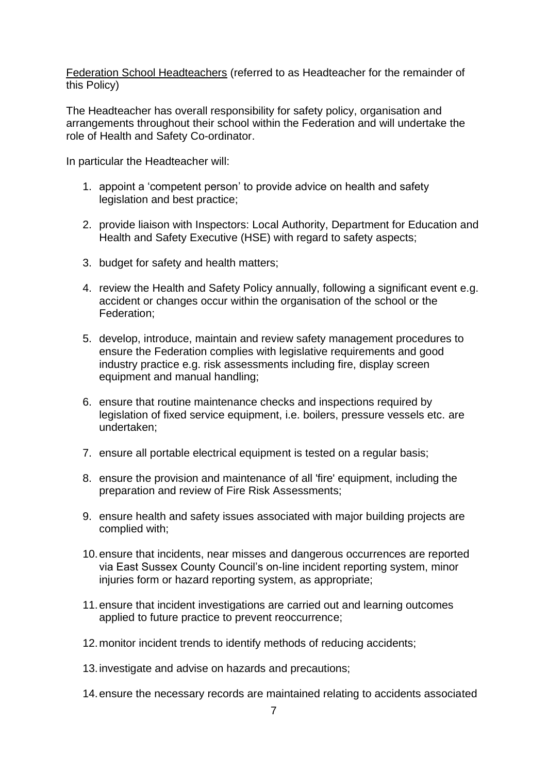Federation School Headteachers (referred to as Headteacher for the remainder of this Policy)

The Headteacher has overall responsibility for safety policy, organisation and arrangements throughout their school within the Federation and will undertake the role of Health and Safety Co-ordinator.

In particular the Headteacher will:

- 1. appoint a 'competent person' to provide advice on health and safety legislation and best practice;
- 2. provide liaison with Inspectors: Local Authority, Department for Education and Health and Safety Executive (HSE) with regard to safety aspects;
- 3. budget for safety and health matters;
- 4. review the Health and Safety Policy annually, following a significant event e.g. accident or changes occur within the organisation of the school or the Federation;
- 5. develop, introduce, maintain and review safety management procedures to ensure the Federation complies with legislative requirements and good industry practice e.g. risk assessments including fire, display screen equipment and manual handling;
- 6. ensure that routine maintenance checks and inspections required by legislation of fixed service equipment, i.e. boilers, pressure vessels etc. are undertaken;
- 7. ensure all portable electrical equipment is tested on a regular basis;
- 8. ensure the provision and maintenance of all 'fire' equipment, including the preparation and review of Fire Risk Assessments;
- 9. ensure health and safety issues associated with major building projects are complied with;
- 10.ensure that incidents, near misses and dangerous occurrences are reported via East Sussex County Council's on-line incident reporting system, minor injuries form or hazard reporting system, as appropriate;
- 11.ensure that incident investigations are carried out and learning outcomes applied to future practice to prevent reoccurrence;
- 12.monitor incident trends to identify methods of reducing accidents;
- 13.investigate and advise on hazards and precautions;
- 14.ensure the necessary records are maintained relating to accidents associated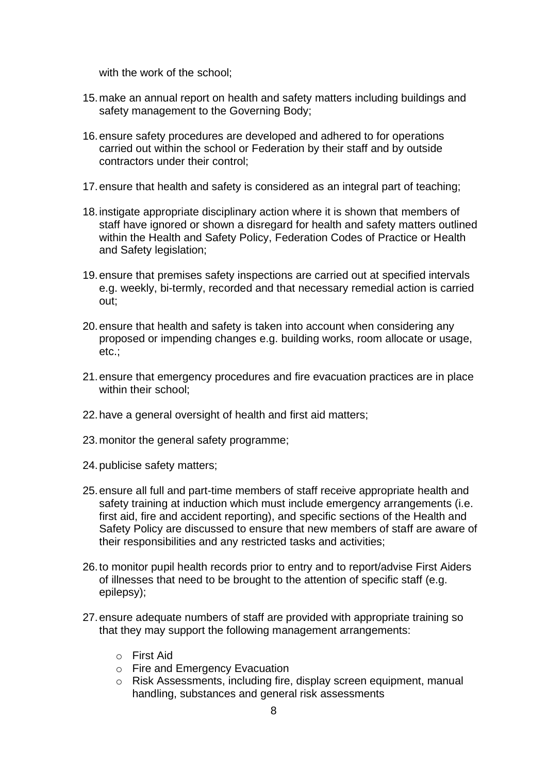with the work of the school;

- 15.make an annual report on health and safety matters including buildings and safety management to the Governing Body;
- 16.ensure safety procedures are developed and adhered to for operations carried out within the school or Federation by their staff and by outside contractors under their control;
- 17.ensure that health and safety is considered as an integral part of teaching;
- 18.instigate appropriate disciplinary action where it is shown that members of staff have ignored or shown a disregard for health and safety matters outlined within the Health and Safety Policy, Federation Codes of Practice or Health and Safety legislation;
- 19.ensure that premises safety inspections are carried out at specified intervals e.g. weekly, bi-termly, recorded and that necessary remedial action is carried out;
- 20.ensure that health and safety is taken into account when considering any proposed or impending changes e.g. building works, room allocate or usage, etc.;
- 21.ensure that emergency procedures and fire evacuation practices are in place within their school:
- 22.have a general oversight of health and first aid matters;
- 23.monitor the general safety programme;
- 24.publicise safety matters;
- 25.ensure all full and part-time members of staff receive appropriate health and safety training at induction which must include emergency arrangements (i.e. first aid, fire and accident reporting), and specific sections of the Health and Safety Policy are discussed to ensure that new members of staff are aware of their responsibilities and any restricted tasks and activities;
- 26.to monitor pupil health records prior to entry and to report/advise First Aiders of illnesses that need to be brought to the attention of specific staff (e.g. epilepsy);
- 27.ensure adequate numbers of staff are provided with appropriate training so that they may support the following management arrangements:
	- o First Aid
	- o Fire and Emergency Evacuation
	- o Risk Assessments, including fire, display screen equipment, manual handling, substances and general risk assessments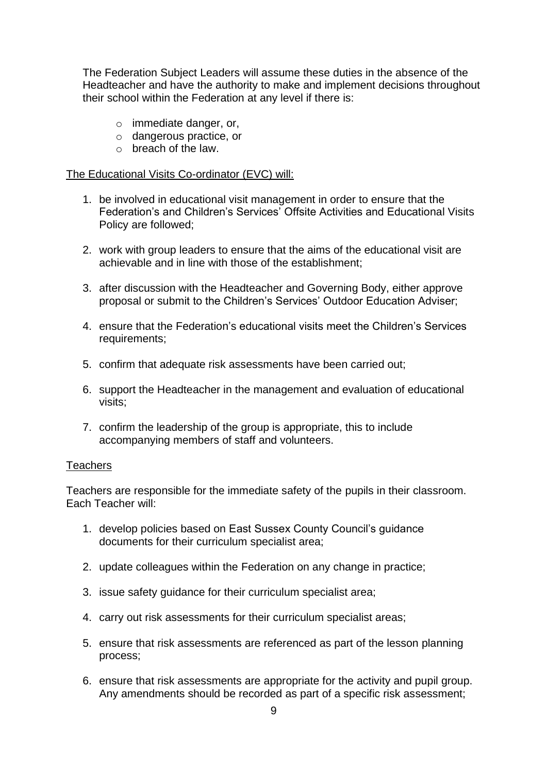The Federation Subject Leaders will assume these duties in the absence of the Headteacher and have the authority to make and implement decisions throughout their school within the Federation at any level if there is:

- o immediate danger, or,
- o dangerous practice, or
- o breach of the law.

#### The Educational Visits Co-ordinator (EVC) will:

- 1. be involved in educational visit management in order to ensure that the Federation's and Children's Services' Offsite Activities and Educational Visits Policy are followed;
- 2. work with group leaders to ensure that the aims of the educational visit are achievable and in line with those of the establishment;
- 3. after discussion with the Headteacher and Governing Body, either approve proposal or submit to the Children's Services' Outdoor Education Adviser;
- 4. ensure that the Federation's educational visits meet the Children's Services requirements;
- 5. confirm that adequate risk assessments have been carried out;
- 6. support the Headteacher in the management and evaluation of educational visits;
- 7. confirm the leadership of the group is appropriate, this to include accompanying members of staff and volunteers.

#### **Teachers**

Teachers are responsible for the immediate safety of the pupils in their classroom. Each Teacher will:

- 1. develop policies based on East Sussex County Council's guidance documents for their curriculum specialist area;
- 2. update colleagues within the Federation on any change in practice;
- 3. issue safety guidance for their curriculum specialist area;
- 4. carry out risk assessments for their curriculum specialist areas;
- 5. ensure that risk assessments are referenced as part of the lesson planning process;
- 6. ensure that risk assessments are appropriate for the activity and pupil group. Any amendments should be recorded as part of a specific risk assessment;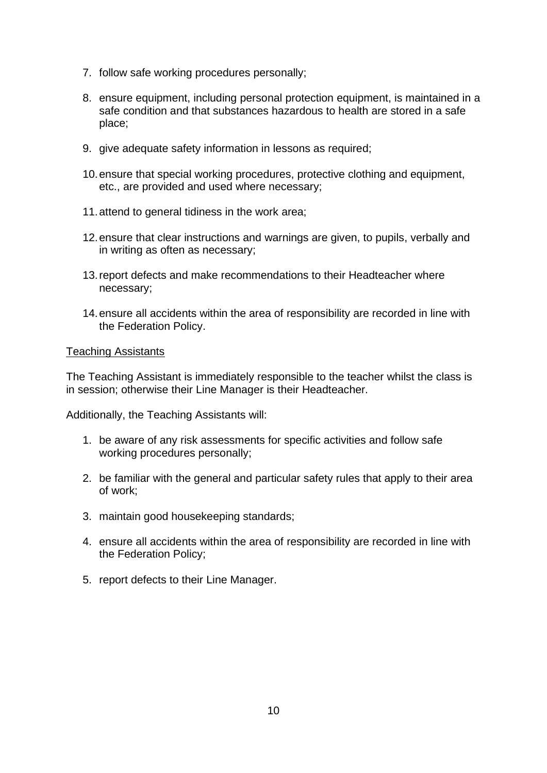- 7. follow safe working procedures personally;
- 8. ensure equipment, including personal protection equipment, is maintained in a safe condition and that substances hazardous to health are stored in a safe place;
- 9. give adequate safety information in lessons as required;
- 10.ensure that special working procedures, protective clothing and equipment, etc., are provided and used where necessary;
- 11.attend to general tidiness in the work area;
- 12.ensure that clear instructions and warnings are given, to pupils, verbally and in writing as often as necessary;
- 13.report defects and make recommendations to their Headteacher where necessary;
- 14.ensure all accidents within the area of responsibility are recorded in line with the Federation Policy.

#### Teaching Assistants

The Teaching Assistant is immediately responsible to the teacher whilst the class is in session; otherwise their Line Manager is their Headteacher.

Additionally, the Teaching Assistants will:

- 1. be aware of any risk assessments for specific activities and follow safe working procedures personally;
- 2. be familiar with the general and particular safety rules that apply to their area of work;
- 3. maintain good housekeeping standards;
- 4. ensure all accidents within the area of responsibility are recorded in line with the Federation Policy;
- 5. report defects to their Line Manager.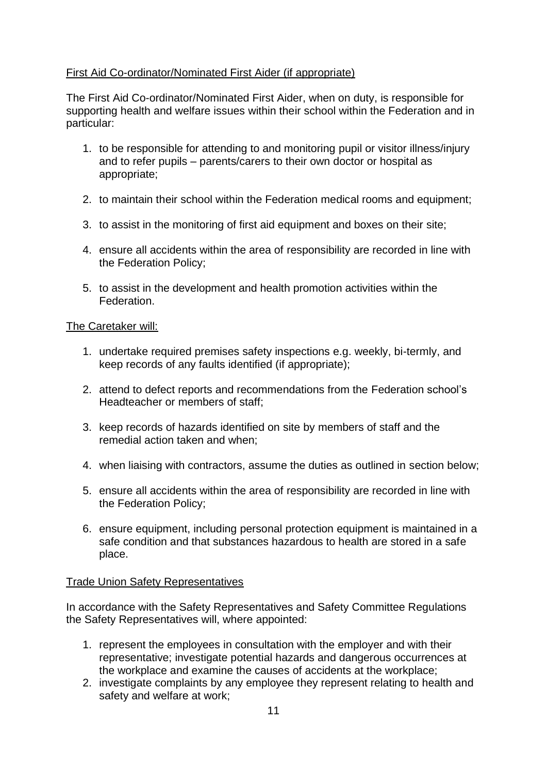#### First Aid Co-ordinator/Nominated First Aider (if appropriate)

The First Aid Co-ordinator/Nominated First Aider, when on duty, is responsible for supporting health and welfare issues within their school within the Federation and in particular:

- 1. to be responsible for attending to and monitoring pupil or visitor illness/injury and to refer pupils – parents/carers to their own doctor or hospital as appropriate;
- 2. to maintain their school within the Federation medical rooms and equipment;
- 3. to assist in the monitoring of first aid equipment and boxes on their site;
- 4. ensure all accidents within the area of responsibility are recorded in line with the Federation Policy;
- 5. to assist in the development and health promotion activities within the **Federation**

#### The Caretaker will:

- 1. undertake required premises safety inspections e.g. weekly, bi-termly, and keep records of any faults identified (if appropriate);
- 2. attend to defect reports and recommendations from the Federation school's Headteacher or members of staff;
- 3. keep records of hazards identified on site by members of staff and the remedial action taken and when;
- 4. when liaising with contractors, assume the duties as outlined in section below;
- 5. ensure all accidents within the area of responsibility are recorded in line with the Federation Policy;
- 6. ensure equipment, including personal protection equipment is maintained in a safe condition and that substances hazardous to health are stored in a safe place.

#### Trade Union Safety Representatives

In accordance with the Safety Representatives and Safety Committee Regulations the Safety Representatives will, where appointed:

- 1. represent the employees in consultation with the employer and with their representative; investigate potential hazards and dangerous occurrences at the workplace and examine the causes of accidents at the workplace;
- 2. investigate complaints by any employee they represent relating to health and safety and welfare at work;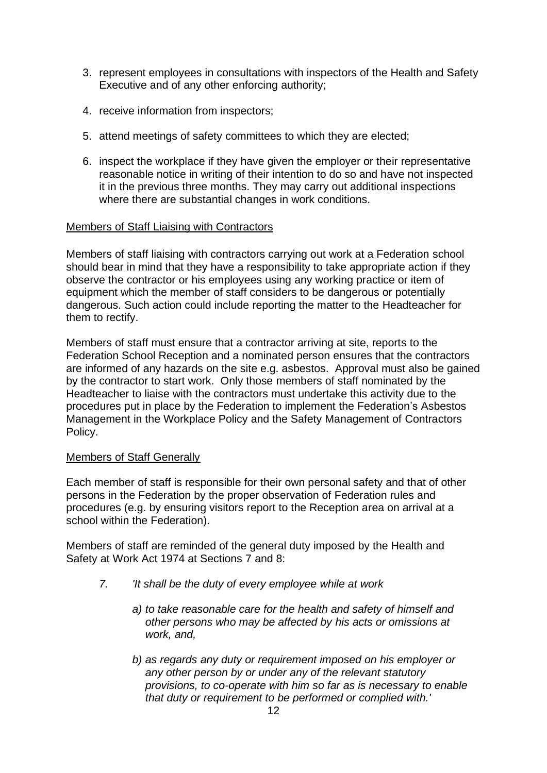- 3. represent employees in consultations with inspectors of the Health and Safety Executive and of any other enforcing authority;
- 4. receive information from inspectors;
- 5. attend meetings of safety committees to which they are elected;
- 6. inspect the workplace if they have given the employer or their representative reasonable notice in writing of their intention to do so and have not inspected it in the previous three months. They may carry out additional inspections where there are substantial changes in work conditions.

#### Members of Staff Liaising with Contractors

Members of staff liaising with contractors carrying out work at a Federation school should bear in mind that they have a responsibility to take appropriate action if they observe the contractor or his employees using any working practice or item of equipment which the member of staff considers to be dangerous or potentially dangerous. Such action could include reporting the matter to the Headteacher for them to rectify.

Members of staff must ensure that a contractor arriving at site, reports to the Federation School Reception and a nominated person ensures that the contractors are informed of any hazards on the site e.g. asbestos. Approval must also be gained by the contractor to start work. Only those members of staff nominated by the Headteacher to liaise with the contractors must undertake this activity due to the procedures put in place by the Federation to implement the Federation's Asbestos Management in the Workplace Policy and the Safety Management of Contractors Policy.

#### Members of Staff Generally

Each member of staff is responsible for their own personal safety and that of other persons in the Federation by the proper observation of Federation rules and procedures (e.g. by ensuring visitors report to the Reception area on arrival at a school within the Federation).

Members of staff are reminded of the general duty imposed by the Health and Safety at Work Act 1974 at Sections 7 and 8:

- *7. 'It shall be the duty of every employee while at work*
	- *a) to take reasonable care for the health and safety of himself and other persons who may be affected by his acts or omissions at work, and,*
	- *b) as regards any duty or requirement imposed on his employer or any other person by or under any of the relevant statutory provisions, to co-operate with him so far as is necessary to enable that duty or requirement to be performed or complied with.'*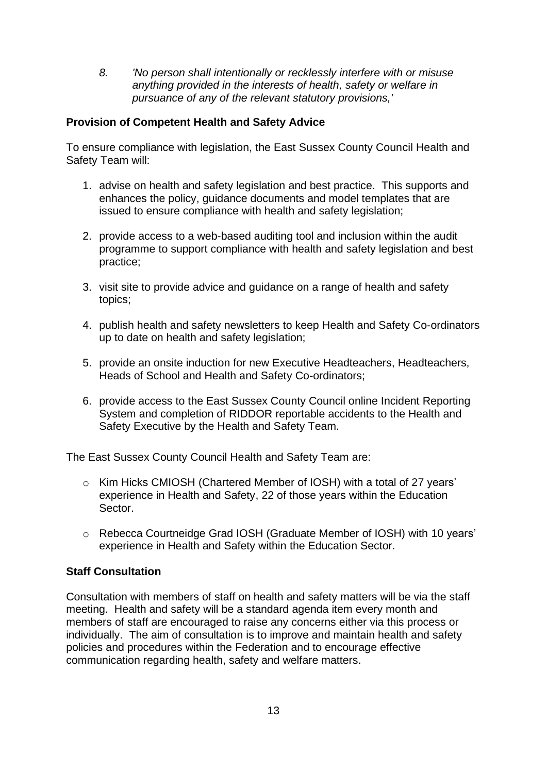*8. 'No person shall intentionally or recklessly interfere with or misuse anything provided in the interests of health, safety or welfare in pursuance of any of the relevant statutory provisions,'*

#### **Provision of Competent Health and Safety Advice**

To ensure compliance with legislation, the East Sussex County Council Health and Safety Team will:

- 1. advise on health and safety legislation and best practice. This supports and enhances the policy, guidance documents and model templates that are issued to ensure compliance with health and safety legislation;
- 2. provide access to a web-based auditing tool and inclusion within the audit programme to support compliance with health and safety legislation and best practice;
- 3. visit site to provide advice and guidance on a range of health and safety topics;
- 4. publish health and safety newsletters to keep Health and Safety Co-ordinators up to date on health and safety legislation;
- 5. provide an onsite induction for new Executive Headteachers, Headteachers, Heads of School and Health and Safety Co-ordinators;
- 6. provide access to the East Sussex County Council online Incident Reporting System and completion of RIDDOR reportable accidents to the Health and Safety Executive by the Health and Safety Team.

The East Sussex County Council Health and Safety Team are:

- o Kim Hicks CMIOSH (Chartered Member of IOSH) with a total of 27 years' experience in Health and Safety, 22 of those years within the Education Sector.
- o Rebecca Courtneidge Grad IOSH (Graduate Member of IOSH) with 10 years' experience in Health and Safety within the Education Sector.

## **Staff Consultation**

Consultation with members of staff on health and safety matters will be via the staff meeting. Health and safety will be a standard agenda item every month and members of staff are encouraged to raise any concerns either via this process or individually. The aim of consultation is to improve and maintain health and safety policies and procedures within the Federation and to encourage effective communication regarding health, safety and welfare matters.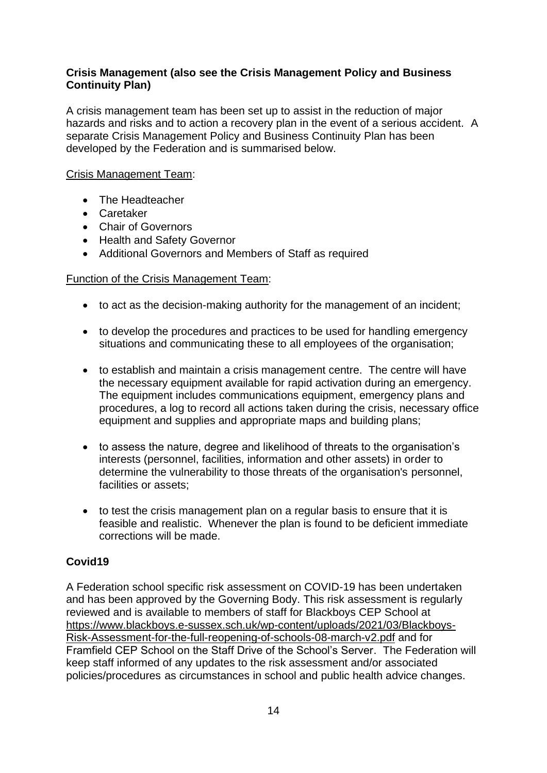#### **Crisis Management (also see the Crisis Management Policy and Business Continuity Plan)**

A crisis management team has been set up to assist in the reduction of major hazards and risks and to action a recovery plan in the event of a serious accident. A separate Crisis Management Policy and Business Continuity Plan has been developed by the Federation and is summarised below.

#### Crisis Management Team:

- The Headteacher
- Caretaker
- Chair of Governors
- Health and Safety Governor
- Additional Governors and Members of Staff as required

#### Function of the Crisis Management Team:

- to act as the decision-making authority for the management of an incident;
- to develop the procedures and practices to be used for handling emergency situations and communicating these to all employees of the organisation;
- to establish and maintain a crisis management centre. The centre will have the necessary equipment available for rapid activation during an emergency. The equipment includes communications equipment, emergency plans and procedures, a log to record all actions taken during the crisis, necessary office equipment and supplies and appropriate maps and building plans;
- to assess the nature, degree and likelihood of threats to the organisation's interests (personnel, facilities, information and other assets) in order to determine the vulnerability to those threats of the organisation's personnel, facilities or assets;
- to test the crisis management plan on a regular basis to ensure that it is feasible and realistic. Whenever the plan is found to be deficient immediate corrections will be made.

#### **Covid19**

A Federation school specific risk assessment on COVID-19 has been undertaken and has been approved by the Governing Body. This risk assessment is regularly reviewed and is available to members of staff for Blackboys CEP School at [https://www.blackboys.e-sussex.sch.uk/wp-content/uploads/2021/03/Blackboys-](https://www.blackboys.e-sussex.sch.uk/wp-content/uploads/2021/03/Blackboys-Risk-Assessment-for-the-full-reopening-of-schools-08-march-v2.pdf)[Risk-Assessment-for-the-full-reopening-of-schools-08-march-v2.pdf](https://www.blackboys.e-sussex.sch.uk/wp-content/uploads/2021/03/Blackboys-Risk-Assessment-for-the-full-reopening-of-schools-08-march-v2.pdf) and for Framfield CEP School on the Staff Drive of the School's Server. The Federation will keep staff informed of any updates to the risk assessment and/or associated policies/procedures as circumstances in school and public health advice changes.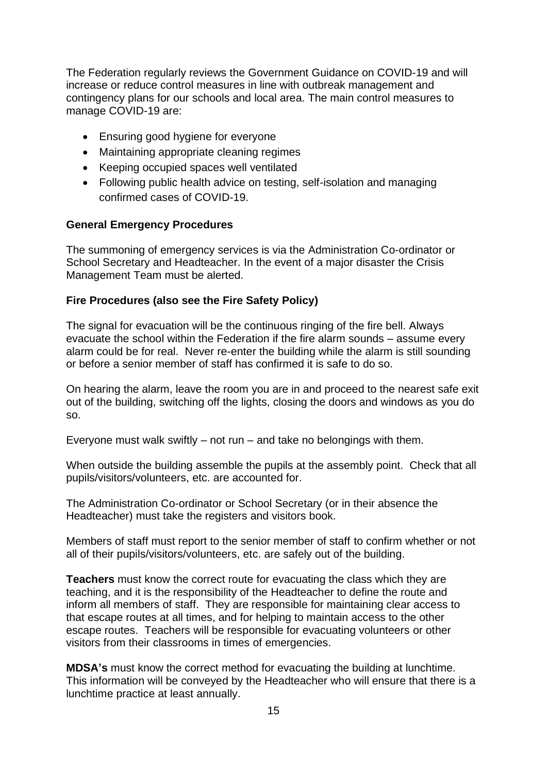The Federation regularly reviews the Government Guidance on COVID-19 and will increase or reduce control measures in line with outbreak management and contingency plans for our schools and local area. The main control measures to manage COVID-19 are:

- Ensuring good hygiene for everyone
- Maintaining appropriate cleaning regimes
- Keeping occupied spaces well ventilated
- Following public health advice on testing, self-isolation and managing confirmed cases of COVID-19.

#### **General Emergency Procedures**

The summoning of emergency services is via the Administration Co-ordinator or School Secretary and Headteacher. In the event of a major disaster the Crisis Management Team must be alerted.

#### **Fire Procedures (also see the Fire Safety Policy)**

The signal for evacuation will be the continuous ringing of the fire bell. Always evacuate the school within the Federation if the fire alarm sounds – assume every alarm could be for real. Never re-enter the building while the alarm is still sounding or before a senior member of staff has confirmed it is safe to do so.

On hearing the alarm, leave the room you are in and proceed to the nearest safe exit out of the building, switching off the lights, closing the doors and windows as you do so.

Everyone must walk swiftly  $-$  not run  $-$  and take no belongings with them.

When outside the building assemble the pupils at the assembly point. Check that all pupils/visitors/volunteers, etc. are accounted for.

The Administration Co-ordinator or School Secretary (or in their absence the Headteacher) must take the registers and visitors book.

Members of staff must report to the senior member of staff to confirm whether or not all of their pupils/visitors/volunteers, etc. are safely out of the building.

**Teachers** must know the correct route for evacuating the class which they are teaching, and it is the responsibility of the Headteacher to define the route and inform all members of staff. They are responsible for maintaining clear access to that escape routes at all times, and for helping to maintain access to the other escape routes. Teachers will be responsible for evacuating volunteers or other visitors from their classrooms in times of emergencies.

**MDSA's** must know the correct method for evacuating the building at lunchtime. This information will be conveyed by the Headteacher who will ensure that there is a lunchtime practice at least annually.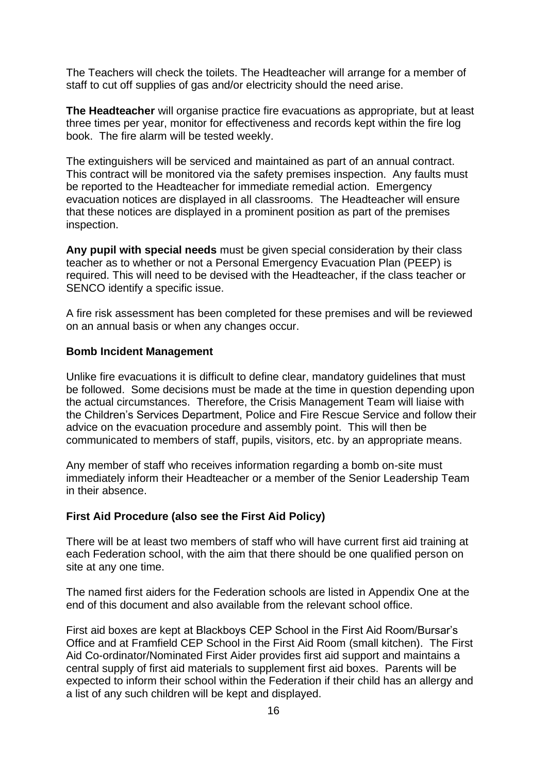The Teachers will check the toilets. The Headteacher will arrange for a member of staff to cut off supplies of gas and/or electricity should the need arise.

**The Headteacher** will organise practice fire evacuations as appropriate, but at least three times per year, monitor for effectiveness and records kept within the fire log book. The fire alarm will be tested weekly.

The extinguishers will be serviced and maintained as part of an annual contract. This contract will be monitored via the safety premises inspection. Any faults must be reported to the Headteacher for immediate remedial action. Emergency evacuation notices are displayed in all classrooms. The Headteacher will ensure that these notices are displayed in a prominent position as part of the premises inspection.

**Any pupil with special needs** must be given special consideration by their class teacher as to whether or not a Personal Emergency Evacuation Plan (PEEP) is required. This will need to be devised with the Headteacher, if the class teacher or SENCO identify a specific issue.

A fire risk assessment has been completed for these premises and will be reviewed on an annual basis or when any changes occur.

#### **Bomb Incident Management**

Unlike fire evacuations it is difficult to define clear, mandatory guidelines that must be followed. Some decisions must be made at the time in question depending upon the actual circumstances. Therefore, the Crisis Management Team will liaise with the Children's Services Department, Police and Fire Rescue Service and follow their advice on the evacuation procedure and assembly point. This will then be communicated to members of staff, pupils, visitors, etc. by an appropriate means.

Any member of staff who receives information regarding a bomb on-site must immediately inform their Headteacher or a member of the Senior Leadership Team in their absence.

#### **First Aid Procedure (also see the First Aid Policy)**

There will be at least two members of staff who will have current first aid training at each Federation school, with the aim that there should be one qualified person on site at any one time.

The named first aiders for the Federation schools are listed in Appendix One at the end of this document and also available from the relevant school office.

First aid boxes are kept at Blackboys CEP School in the First Aid Room/Bursar's Office and at Framfield CEP School in the First Aid Room (small kitchen). The First Aid Co-ordinator/Nominated First Aider provides first aid support and maintains a central supply of first aid materials to supplement first aid boxes. Parents will be expected to inform their school within the Federation if their child has an allergy and a list of any such children will be kept and displayed.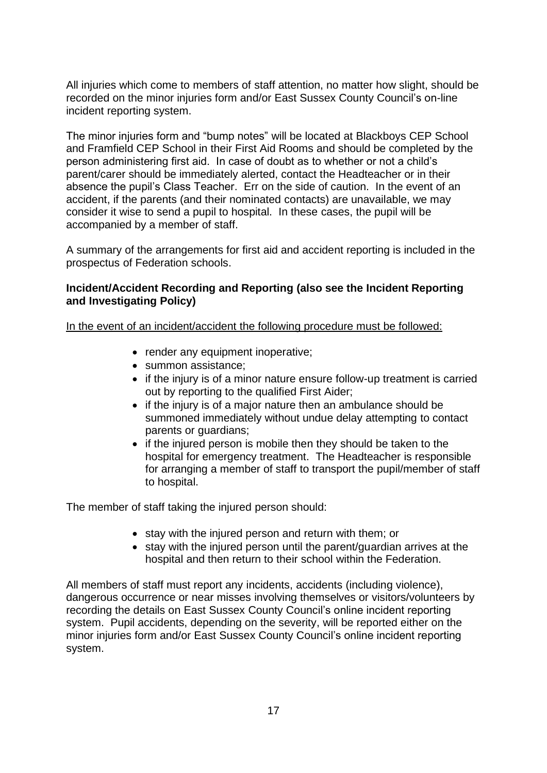All injuries which come to members of staff attention, no matter how slight, should be recorded on the minor injuries form and/or East Sussex County Council's on-line incident reporting system.

The minor injuries form and "bump notes" will be located at Blackboys CEP School and Framfield CEP School in their First Aid Rooms and should be completed by the person administering first aid. In case of doubt as to whether or not a child's parent/carer should be immediately alerted, contact the Headteacher or in their absence the pupil's Class Teacher. Err on the side of caution. In the event of an accident, if the parents (and their nominated contacts) are unavailable, we may consider it wise to send a pupil to hospital. In these cases, the pupil will be accompanied by a member of staff.

A summary of the arrangements for first aid and accident reporting is included in the prospectus of Federation schools.

#### **Incident/Accident Recording and Reporting (also see the Incident Reporting and Investigating Policy)**

In the event of an incident/accident the following procedure must be followed:

- render any equipment inoperative;
- summon assistance;
- if the injury is of a minor nature ensure follow-up treatment is carried out by reporting to the qualified First Aider;
- if the injury is of a major nature then an ambulance should be summoned immediately without undue delay attempting to contact parents or guardians;
- if the injured person is mobile then they should be taken to the hospital for emergency treatment. The Headteacher is responsible for arranging a member of staff to transport the pupil/member of staff to hospital.

The member of staff taking the injured person should:

- stay with the injured person and return with them; or
- stay with the injured person until the parent/guardian arrives at the hospital and then return to their school within the Federation.

All members of staff must report any incidents, accidents (including violence), dangerous occurrence or near misses involving themselves or visitors/volunteers by recording the details on East Sussex County Council's online incident reporting system. Pupil accidents, depending on the severity, will be reported either on the minor injuries form and/or East Sussex County Council's online incident reporting system.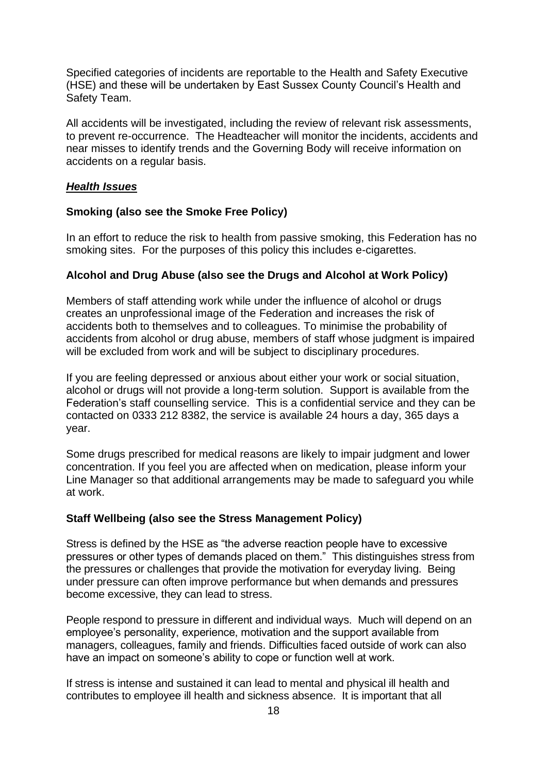Specified categories of incidents are reportable to the Health and Safety Executive (HSE) and these will be undertaken by East Sussex County Council's Health and Safety Team.

All accidents will be investigated, including the review of relevant risk assessments, to prevent re-occurrence. The Headteacher will monitor the incidents, accidents and near misses to identify trends and the Governing Body will receive information on accidents on a regular basis.

#### *Health Issues*

#### **Smoking (also see the Smoke Free Policy)**

In an effort to reduce the risk to health from passive smoking, this Federation has no smoking sites. For the purposes of this policy this includes e-cigarettes.

#### **Alcohol and Drug Abuse (also see the Drugs and Alcohol at Work Policy)**

Members of staff attending work while under the influence of alcohol or drugs creates an unprofessional image of the Federation and increases the risk of accidents both to themselves and to colleagues. To minimise the probability of accidents from alcohol or drug abuse, members of staff whose judgment is impaired will be excluded from work and will be subject to disciplinary procedures.

If you are feeling depressed or anxious about either your work or social situation, alcohol or drugs will not provide a long-term solution. Support is available from the Federation's staff counselling service. This is a confidential service and they can be contacted on 0333 212 8382, the service is available 24 hours a day, 365 days a year.

Some drugs prescribed for medical reasons are likely to impair judgment and lower concentration. If you feel you are affected when on medication, please inform your Line Manager so that additional arrangements may be made to safeguard you while at work.

#### **Staff Wellbeing (also see the Stress Management Policy)**

Stress is defined by the HSE as "the adverse reaction people have to excessive pressures or other types of demands placed on them." This distinguishes stress from the pressures or challenges that provide the motivation for everyday living. Being under pressure can often improve performance but when demands and pressures become excessive, they can lead to stress.

People respond to pressure in different and individual ways. Much will depend on an employee's personality, experience, motivation and the support available from managers, colleagues, family and friends. Difficulties faced outside of work can also have an impact on someone's ability to cope or function well at work.

If stress is intense and sustained it can lead to mental and physical ill health and contributes to employee ill health and sickness absence. It is important that all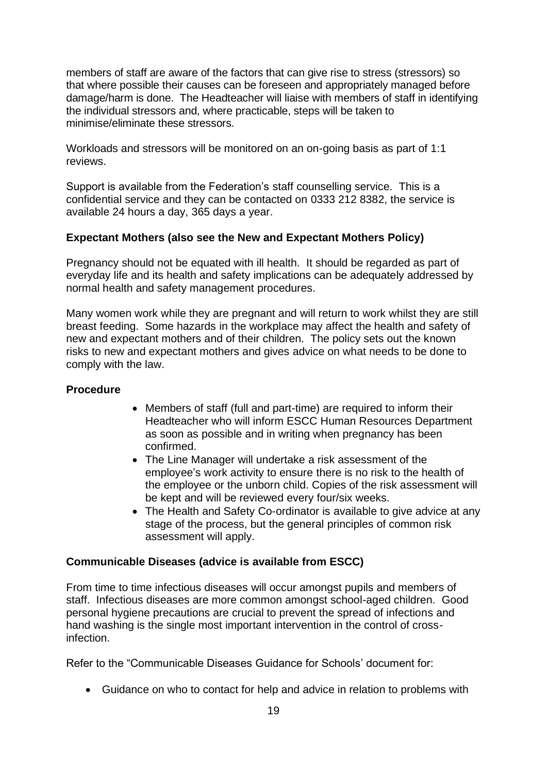members of staff are aware of the factors that can give rise to stress (stressors) so that where possible their causes can be foreseen and appropriately managed before damage/harm is done. The Headteacher will liaise with members of staff in identifying the individual stressors and, where practicable, steps will be taken to minimise/eliminate these stressors.

Workloads and stressors will be monitored on an on-going basis as part of 1:1 reviews.

Support is available from the Federation's staff counselling service. This is a confidential service and they can be contacted on 0333 212 8382, the service is available 24 hours a day, 365 days a year.

#### **Expectant Mothers (also see the New and Expectant Mothers Policy)**

Pregnancy should not be equated with ill health. It should be regarded as part of everyday life and its health and safety implications can be adequately addressed by normal health and safety management procedures.

Many women work while they are pregnant and will return to work whilst they are still breast feeding. Some hazards in the workplace may affect the health and safety of new and expectant mothers and of their children. The policy sets out the known risks to new and expectant mothers and gives advice on what needs to be done to comply with the law.

#### **Procedure**

- Members of staff (full and part-time) are required to inform their Headteacher who will inform ESCC Human Resources Department as soon as possible and in writing when pregnancy has been confirmed.
- The Line Manager will undertake a risk assessment of the employee's work activity to ensure there is no risk to the health of the employee or the unborn child. Copies of the risk assessment will be kept and will be reviewed every four/six weeks.
- The Health and Safety Co-ordinator is available to give advice at any stage of the process, but the general principles of common risk assessment will apply.

#### **Communicable Diseases (advice is available from ESCC)**

From time to time infectious diseases will occur amongst pupils and members of staff. Infectious diseases are more common amongst school-aged children. Good personal hygiene precautions are crucial to prevent the spread of infections and hand washing is the single most important intervention in the control of crossinfection.

Refer to the "Communicable Diseases Guidance for Schools' document for:

• Guidance on who to contact for help and advice in relation to problems with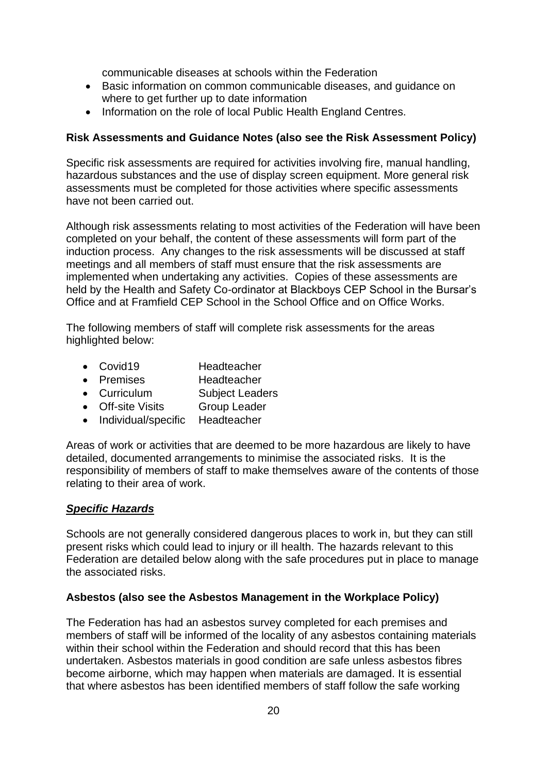communicable diseases at schools within the Federation

- Basic information on common communicable diseases, and guidance on where to get further up to date information
- Information on the role of local Public Health England Centres.

#### **Risk Assessments and Guidance Notes (also see the Risk Assessment Policy)**

Specific risk assessments are required for activities involving fire, manual handling, hazardous substances and the use of display screen equipment. More general risk assessments must be completed for those activities where specific assessments have not been carried out.

Although risk assessments relating to most activities of the Federation will have been completed on your behalf, the content of these assessments will form part of the induction process. Any changes to the risk assessments will be discussed at staff meetings and all members of staff must ensure that the risk assessments are implemented when undertaking any activities. Copies of these assessments are held by the Health and Safety Co-ordinator at Blackboys CEP School in the Bursar's Office and at Framfield CEP School in the School Office and on Office Works.

The following members of staff will complete risk assessments for the areas highlighted below:

- Covid19 Headteacher
- Premises Headteacher
- Curriculum Subject Leaders
- Off-site Visits Group Leader
- Individual/specific Headteacher

Areas of work or activities that are deemed to be more hazardous are likely to have detailed, documented arrangements to minimise the associated risks. It is the responsibility of members of staff to make themselves aware of the contents of those relating to their area of work.

#### *Specific Hazards*

Schools are not generally considered dangerous places to work in, but they can still present risks which could lead to injury or ill health. The hazards relevant to this Federation are detailed below along with the safe procedures put in place to manage the associated risks.

#### **Asbestos (also see the Asbestos Management in the Workplace Policy)**

The Federation has had an asbestos survey completed for each premises and members of staff will be informed of the locality of any asbestos containing materials within their school within the Federation and should record that this has been undertaken. Asbestos materials in good condition are safe unless asbestos fibres become airborne, which may happen when materials are damaged. It is essential that where asbestos has been identified members of staff follow the safe working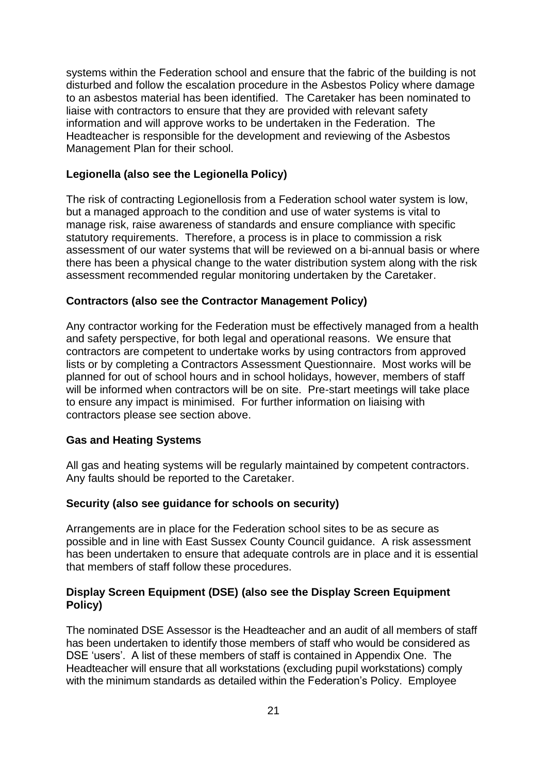systems within the Federation school and ensure that the fabric of the building is not disturbed and follow the escalation procedure in the Asbestos Policy where damage to an asbestos material has been identified. The Caretaker has been nominated to liaise with contractors to ensure that they are provided with relevant safety information and will approve works to be undertaken in the Federation. The Headteacher is responsible for the development and reviewing of the Asbestos Management Plan for their school.

#### **Legionella (also see the Legionella Policy)**

The risk of contracting Legionellosis from a Federation school water system is low, but a managed approach to the condition and use of water systems is vital to manage risk, raise awareness of standards and ensure compliance with specific statutory requirements. Therefore, a process is in place to commission a risk assessment of our water systems that will be reviewed on a bi-annual basis or where there has been a physical change to the water distribution system along with the risk assessment recommended regular monitoring undertaken by the Caretaker.

#### **Contractors (also see the Contractor Management Policy)**

Any contractor working for the Federation must be effectively managed from a health and safety perspective, for both legal and operational reasons. We ensure that contractors are competent to undertake works by using contractors from approved lists or by completing a Contractors Assessment Questionnaire. Most works will be planned for out of school hours and in school holidays, however, members of staff will be informed when contractors will be on site. Pre-start meetings will take place to ensure any impact is minimised. For further information on liaising with contractors please see section above.

#### **Gas and Heating Systems**

All gas and heating systems will be regularly maintained by competent contractors. Any faults should be reported to the Caretaker.

#### **Security (also see guidance for schools on security)**

Arrangements are in place for the Federation school sites to be as secure as possible and in line with East Sussex County Council guidance. A risk assessment has been undertaken to ensure that adequate controls are in place and it is essential that members of staff follow these procedures.

#### **Display Screen Equipment (DSE) (also see the Display Screen Equipment Policy)**

The nominated DSE Assessor is the Headteacher and an audit of all members of staff has been undertaken to identify those members of staff who would be considered as DSE 'users'. A list of these members of staff is contained in Appendix One. The Headteacher will ensure that all workstations (excluding pupil workstations) comply with the minimum standards as detailed within the Federation's Policy. Employee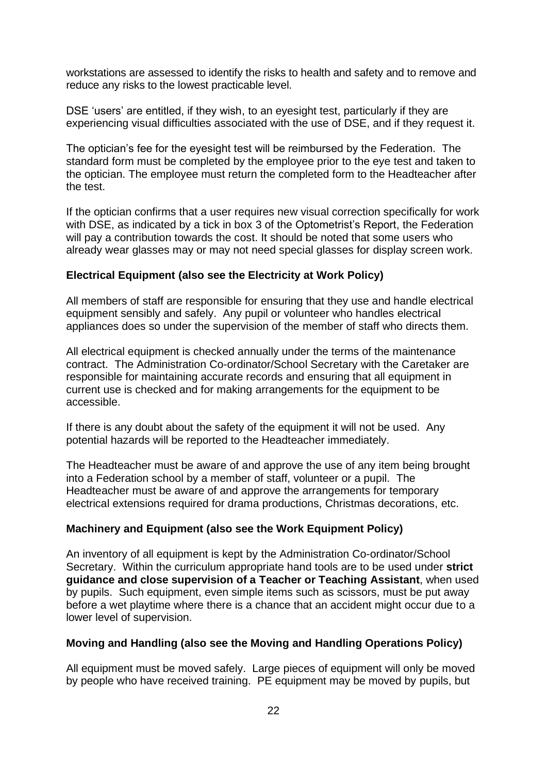workstations are assessed to identify the risks to health and safety and to remove and reduce any risks to the lowest practicable level.

DSE 'users' are entitled, if they wish, to an eyesight test, particularly if they are experiencing visual difficulties associated with the use of DSE, and if they request it.

The optician's fee for the eyesight test will be reimbursed by the Federation. The standard form must be completed by the employee prior to the eye test and taken to the optician. The employee must return the completed form to the Headteacher after the test.

If the optician confirms that a user requires new visual correction specifically for work with DSE, as indicated by a tick in box 3 of the Optometrist's Report, the Federation will pay a contribution towards the cost. It should be noted that some users who already wear glasses may or may not need special glasses for display screen work.

#### **Electrical Equipment (also see the Electricity at Work Policy)**

All members of staff are responsible for ensuring that they use and handle electrical equipment sensibly and safely. Any pupil or volunteer who handles electrical appliances does so under the supervision of the member of staff who directs them.

All electrical equipment is checked annually under the terms of the maintenance contract. The Administration Co-ordinator/School Secretary with the Caretaker are responsible for maintaining accurate records and ensuring that all equipment in current use is checked and for making arrangements for the equipment to be accessible.

If there is any doubt about the safety of the equipment it will not be used. Any potential hazards will be reported to the Headteacher immediately.

The Headteacher must be aware of and approve the use of any item being brought into a Federation school by a member of staff, volunteer or a pupil. The Headteacher must be aware of and approve the arrangements for temporary electrical extensions required for drama productions, Christmas decorations, etc.

#### **Machinery and Equipment (also see the Work Equipment Policy)**

An inventory of all equipment is kept by the Administration Co-ordinator/School Secretary. Within the curriculum appropriate hand tools are to be used under **strict guidance and close supervision of a Teacher or Teaching Assistant**, when used by pupils. Such equipment, even simple items such as scissors, must be put away before a wet playtime where there is a chance that an accident might occur due to a lower level of supervision.

#### **Moving and Handling (also see the Moving and Handling Operations Policy)**

All equipment must be moved safely. Large pieces of equipment will only be moved by people who have received training. PE equipment may be moved by pupils, but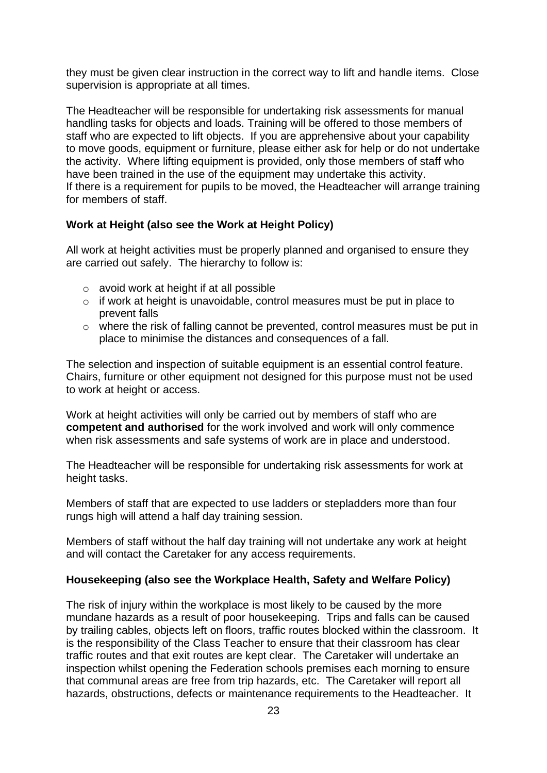they must be given clear instruction in the correct way to lift and handle items. Close supervision is appropriate at all times.

The Headteacher will be responsible for undertaking risk assessments for manual handling tasks for objects and loads. Training will be offered to those members of staff who are expected to lift objects. If you are apprehensive about your capability to move goods, equipment or furniture, please either ask for help or do not undertake the activity. Where lifting equipment is provided, only those members of staff who have been trained in the use of the equipment may undertake this activity. If there is a requirement for pupils to be moved, the Headteacher will arrange training for members of staff.

#### **Work at Height (also see the Work at Height Policy)**

All work at height activities must be properly planned and organised to ensure they are carried out safely. The hierarchy to follow is:

- o avoid work at height if at all possible
- o if work at height is unavoidable, control measures must be put in place to prevent falls
- o where the risk of falling cannot be prevented, control measures must be put in place to minimise the distances and consequences of a fall.

The selection and inspection of suitable equipment is an essential control feature. Chairs, furniture or other equipment not designed for this purpose must not be used to work at height or access.

Work at height activities will only be carried out by members of staff who are **competent and authorised** for the work involved and work will only commence when risk assessments and safe systems of work are in place and understood.

The Headteacher will be responsible for undertaking risk assessments for work at height tasks.

Members of staff that are expected to use ladders or stepladders more than four rungs high will attend a half day training session.

Members of staff without the half day training will not undertake any work at height and will contact the Caretaker for any access requirements.

#### **Housekeeping (also see the Workplace Health, Safety and Welfare Policy)**

The risk of injury within the workplace is most likely to be caused by the more mundane hazards as a result of poor housekeeping. Trips and falls can be caused by trailing cables, objects left on floors, traffic routes blocked within the classroom. It is the responsibility of the Class Teacher to ensure that their classroom has clear traffic routes and that exit routes are kept clear. The Caretaker will undertake an inspection whilst opening the Federation schools premises each morning to ensure that communal areas are free from trip hazards, etc. The Caretaker will report all hazards, obstructions, defects or maintenance requirements to the Headteacher. It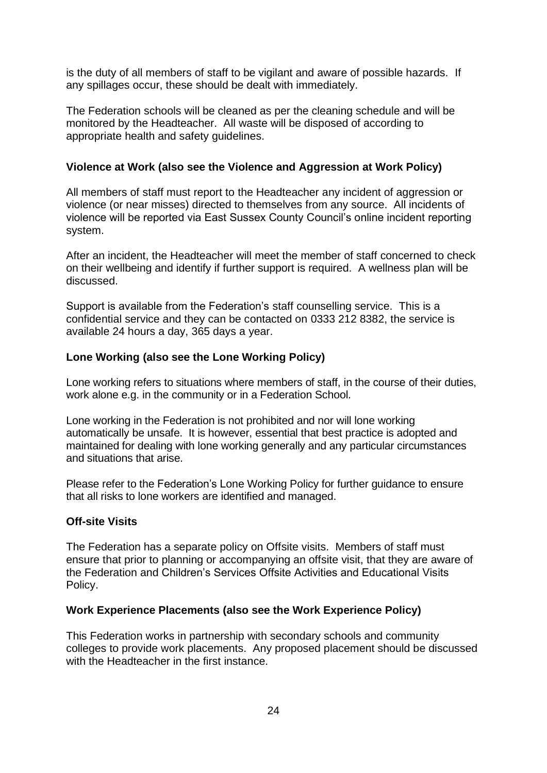is the duty of all members of staff to be vigilant and aware of possible hazards. If any spillages occur, these should be dealt with immediately.

The Federation schools will be cleaned as per the cleaning schedule and will be monitored by the Headteacher. All waste will be disposed of according to appropriate health and safety guidelines.

#### **Violence at Work (also see the Violence and Aggression at Work Policy)**

All members of staff must report to the Headteacher any incident of aggression or violence (or near misses) directed to themselves from any source. All incidents of violence will be reported via East Sussex County Council's online incident reporting system.

After an incident, the Headteacher will meet the member of staff concerned to check on their wellbeing and identify if further support is required. A wellness plan will be discussed.

Support is available from the Federation's staff counselling service. This is a confidential service and they can be contacted on 0333 212 8382, the service is available 24 hours a day, 365 days a year.

#### **Lone Working (also see the Lone Working Policy)**

Lone working refers to situations where members of staff, in the course of their duties, work alone e.g. in the community or in a Federation School.

Lone working in the Federation is not prohibited and nor will lone working automatically be unsafe. It is however, essential that best practice is adopted and maintained for dealing with lone working generally and any particular circumstances and situations that arise.

Please refer to the Federation's Lone Working Policy for further guidance to ensure that all risks to lone workers are identified and managed.

#### **Off-site Visits**

The Federation has a separate policy on Offsite visits. Members of staff must ensure that prior to planning or accompanying an offsite visit, that they are aware of the Federation and Children's Services Offsite Activities and Educational Visits Policy.

#### **Work Experience Placements (also see the Work Experience Policy)**

This Federation works in partnership with secondary schools and community colleges to provide work placements. Any proposed placement should be discussed with the Headteacher in the first instance.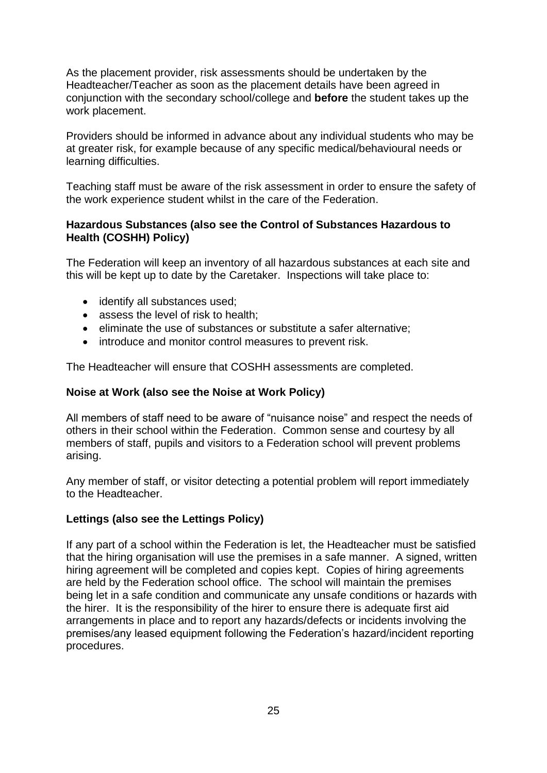As the placement provider, risk assessments should be undertaken by the Headteacher/Teacher as soon as the placement details have been agreed in conjunction with the secondary school/college and **before** the student takes up the work placement.

Providers should be informed in advance about any individual students who may be at greater risk, for example because of any specific medical/behavioural needs or learning difficulties.

Teaching staff must be aware of the risk assessment in order to ensure the safety of the work experience student whilst in the care of the Federation.

#### **Hazardous Substances (also see the Control of Substances Hazardous to Health (COSHH) Policy)**

The Federation will keep an inventory of all hazardous substances at each site and this will be kept up to date by the Caretaker. Inspections will take place to:

- identify all substances used;
- assess the level of risk to health:
- eliminate the use of substances or substitute a safer alternative:
- introduce and monitor control measures to prevent risk.

The Headteacher will ensure that COSHH assessments are completed.

#### **Noise at Work (also see the Noise at Work Policy)**

All members of staff need to be aware of "nuisance noise" and respect the needs of others in their school within the Federation. Common sense and courtesy by all members of staff, pupils and visitors to a Federation school will prevent problems arising.

Any member of staff, or visitor detecting a potential problem will report immediately to the Headteacher.

#### **Lettings (also see the Lettings Policy)**

If any part of a school within the Federation is let, the Headteacher must be satisfied that the hiring organisation will use the premises in a safe manner. A signed, written hiring agreement will be completed and copies kept. Copies of hiring agreements are held by the Federation school office. The school will maintain the premises being let in a safe condition and communicate any unsafe conditions or hazards with the hirer. It is the responsibility of the hirer to ensure there is adequate first aid arrangements in place and to report any hazards/defects or incidents involving the premises/any leased equipment following the Federation's hazard/incident reporting procedures.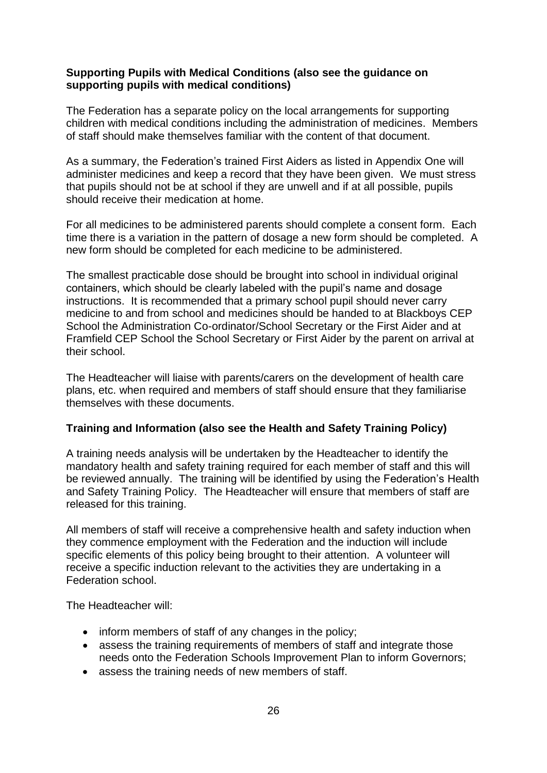#### **Supporting Pupils with Medical Conditions (also see the guidance on supporting pupils with medical conditions)**

The Federation has a separate policy on the local arrangements for supporting children with medical conditions including the administration of medicines. Members of staff should make themselves familiar with the content of that document.

As a summary, the Federation's trained First Aiders as listed in Appendix One will administer medicines and keep a record that they have been given. We must stress that pupils should not be at school if they are unwell and if at all possible, pupils should receive their medication at home.

For all medicines to be administered parents should complete a consent form. Each time there is a variation in the pattern of dosage a new form should be completed. A new form should be completed for each medicine to be administered.

The smallest practicable dose should be brought into school in individual original containers, which should be clearly labeled with the pupil's name and dosage instructions. It is recommended that a primary school pupil should never carry medicine to and from school and medicines should be handed to at Blackboys CEP School the Administration Co-ordinator/School Secretary or the First Aider and at Framfield CEP School the School Secretary or First Aider by the parent on arrival at their school.

The Headteacher will liaise with parents/carers on the development of health care plans, etc. when required and members of staff should ensure that they familiarise themselves with these documents.

#### **Training and Information (also see the Health and Safety Training Policy)**

A training needs analysis will be undertaken by the Headteacher to identify the mandatory health and safety training required for each member of staff and this will be reviewed annually. The training will be identified by using the Federation's Health and Safety Training Policy. The Headteacher will ensure that members of staff are released for this training.

All members of staff will receive a comprehensive health and safety induction when they commence employment with the Federation and the induction will include specific elements of this policy being brought to their attention. A volunteer will receive a specific induction relevant to the activities they are undertaking in a Federation school.

The Headteacher will:

- inform members of staff of any changes in the policy;
- assess the training requirements of members of staff and integrate those needs onto the Federation Schools Improvement Plan to inform Governors;
- assess the training needs of new members of staff.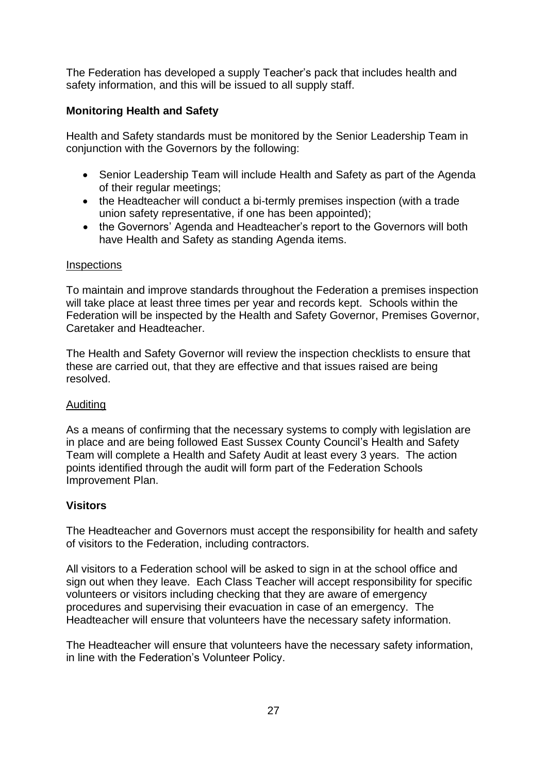The Federation has developed a supply Teacher's pack that includes health and safety information, and this will be issued to all supply staff.

## **Monitoring Health and Safety**

Health and Safety standards must be monitored by the Senior Leadership Team in conjunction with the Governors by the following:

- Senior Leadership Team will include Health and Safety as part of the Agenda of their regular meetings;
- the Headteacher will conduct a bi-termly premises inspection (with a trade union safety representative, if one has been appointed);
- the Governors' Agenda and Headteacher's report to the Governors will both have Health and Safety as standing Agenda items.

#### **Inspections**

To maintain and improve standards throughout the Federation a premises inspection will take place at least three times per year and records kept. Schools within the Federation will be inspected by the Health and Safety Governor, Premises Governor, Caretaker and Headteacher.

The Health and Safety Governor will review the inspection checklists to ensure that these are carried out, that they are effective and that issues raised are being resolved.

#### Auditing

As a means of confirming that the necessary systems to comply with legislation are in place and are being followed East Sussex County Council's Health and Safety Team will complete a Health and Safety Audit at least every 3 years. The action points identified through the audit will form part of the Federation Schools Improvement Plan.

#### **Visitors**

The Headteacher and Governors must accept the responsibility for health and safety of visitors to the Federation, including contractors.

All visitors to a Federation school will be asked to sign in at the school office and sign out when they leave. Each Class Teacher will accept responsibility for specific volunteers or visitors including checking that they are aware of emergency procedures and supervising their evacuation in case of an emergency. The Headteacher will ensure that volunteers have the necessary safety information.

The Headteacher will ensure that volunteers have the necessary safety information, in line with the Federation's Volunteer Policy.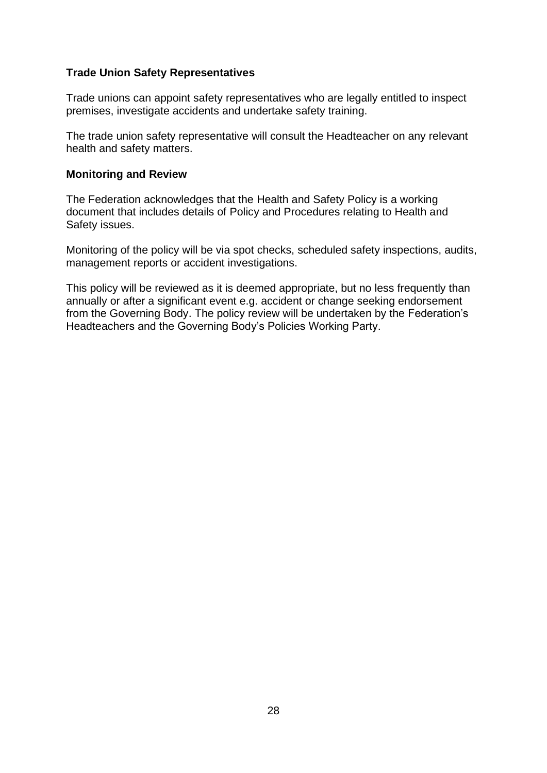#### **Trade Union Safety Representatives**

Trade unions can appoint safety representatives who are legally entitled to inspect premises, investigate accidents and undertake safety training.

The trade union safety representative will consult the Headteacher on any relevant health and safety matters.

#### **Monitoring and Review**

The Federation acknowledges that the Health and Safety Policy is a working document that includes details of Policy and Procedures relating to Health and Safety issues.

Monitoring of the policy will be via spot checks, scheduled safety inspections, audits, management reports or accident investigations.

This policy will be reviewed as it is deemed appropriate, but no less frequently than annually or after a significant event e.g. accident or change seeking endorsement from the Governing Body. The policy review will be undertaken by the Federation's Headteachers and the Governing Body's Policies Working Party.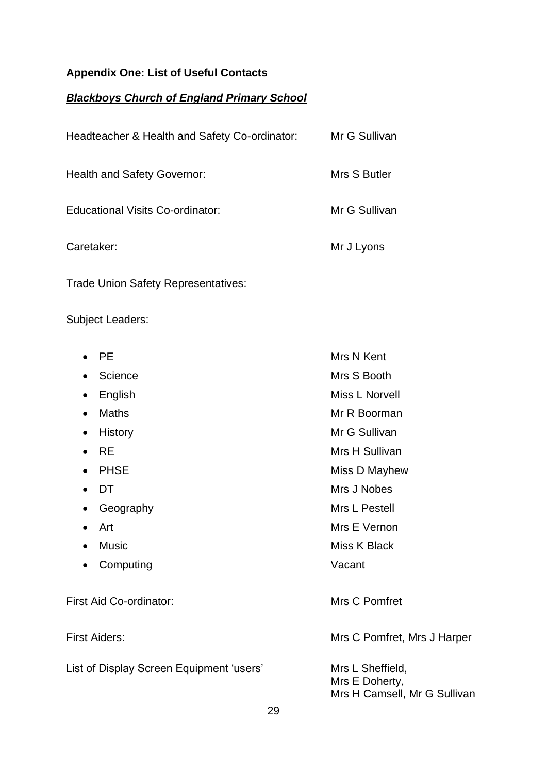## **Appendix One: List of Useful Contacts**

## *Blackboys Church of England Primary School*

| Headteacher & Health and Safety Co-ordinator: | Mr G Sullivan |
|-----------------------------------------------|---------------|
| <b>Health and Safety Governor:</b>            | Mrs S Butler  |
| Educational Visits Co-ordinator:              | Mr G Sullivan |
| Caretaker:                                    | Mr J Lyons    |
| <b>Trade Union Safety Representatives:</b>    |               |

Subject Leaders:

| <b>PE</b><br>$\bullet$                   | Mrs N Kent                                                         |
|------------------------------------------|--------------------------------------------------------------------|
| Science<br>٠                             | Mrs S Booth                                                        |
| English<br>$\bullet$                     | Miss L Norvell                                                     |
| Maths<br>$\bullet$                       | Mr R Boorman                                                       |
| <b>History</b><br>٠                      | Mr G Sullivan                                                      |
| <b>RE</b>                                | Mrs H Sullivan                                                     |
| <b>PHSE</b>                              | Miss D Mayhew                                                      |
| DT                                       | Mrs J Nobes                                                        |
| Geography<br>$\bullet$                   | Mrs L Pestell                                                      |
| Art<br>$\bullet$                         | Mrs E Vernon                                                       |
| <b>Music</b><br>$\bullet$                | Miss K Black                                                       |
| Computing<br>$\bullet$                   | Vacant                                                             |
| First Aid Co-ordinator:                  | Mrs C Pomfret                                                      |
| <b>First Aiders:</b>                     | Mrs C Pomfret, Mrs J Harper                                        |
| List of Display Screen Equipment 'users' | Mrs L Sheffield,<br>Mrs E Doherty,<br>Mrs H Camsell, Mr G Sullivan |